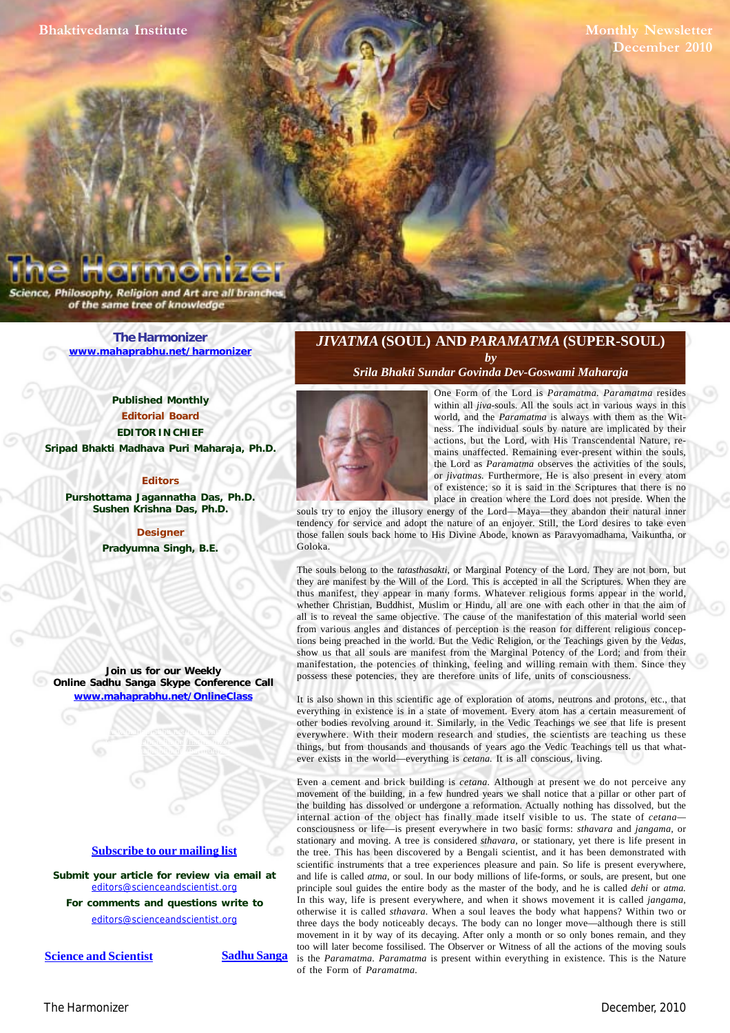**Monthly Newsletter** cember 2010

ence, Philosophy, Religion and Art are all brand of the same tree of knowledge

> **[The Harmonizer](http://www.mahaprabhu.net/satsanga/harmonizer/) www.mahaprabhu.net/harmonizer**

**Published Monthly Editorial Board EDITOR IN CHIEF Sripad Bhakti Madhava Puri Maharaja, Ph.D.**

#### **Editors**

**Purshottama Jagannatha Das, Ph.D. Sushen Krishna Das, Ph.D.**

> **Designer Pradyumna Singh, B.E.**

**Join us for our Weekly Online Sadhu Sanga Skype Conference Call www.mahaprabhu.net/OnlineClass**

> www.mahaprabhu.net/harmonizer www.mahapprabhu.net/harmonizer www.mahaprabhu.net/harmonizer

## **<u>Subscribe to our mailing list</u>**

**Submit your article for review via email at** editors@scienceandscientist.org

**For comments and questions write to** editors@scienceandscientist.org

**<u>Science and Scientist</u> Sadhu Sanga** 

## *JIVATMA* **(SOUL) AND** *PARAMATMA* **(SUPER-SOUL)** *by*

*[Srila Bhakti Sundar Govinda Dev-Goswami Maharaja](http://scsmath.com/docs/govinda_maharaj.html)*



 . the Lord as *Paramatma* observes the activities of the souls, One Form of the Lord is *Paramatma. Paramatma* resides within all *jiva*-souls. All the souls act in various ways in this world, and the *Paramatma* is always with them as the Witness. The individual souls by nature are implicated by their actions, but the Lord, with His Transcendental Nature, remains unaffected. Remaining ever-present within the souls, or *jivatmas.* Furthermore, He is also present in every atom of existence; so it is said in the Scriptures that there is no place in creation where the Lord does not preside. When the

souls try to enjoy the illusory energy of the Lord—Maya—they abandon their natural inner tendency for service and adopt the nature of an enjoyer. Still, the Lord desires to take even those fallen souls back home to His Divine Abode, known as Paravyomadhama, Vaikuntha, or Goloka.

The souls belong to the *tatasthasakti,* or Marginal Potency of the Lord. They are not born, but they are manifest by the Will of the Lord. This is accepted in all the Scriptures. When they are thus manifest, they appear in many forms. Whatever religious forms appear in the world, whether Christian, Buddhist, Muslim or Hindu, all are one with each other in that the aim of all is to reveal the same objective. The cause of the manifestation of this material world seen from various angles and distances of perception is the reason for different religious conceptions being preached in the world. But the Vedic Religion, or the Teachings given by the *Vedas,* show us that all souls are manifest from the Marginal Potency of the Lord; and from their manifestation, the potencies of thinking, feeling and willing remain with them. Since they possess these potencies, they are therefore units of life, units of consciousness.

It is also shown in this scientific age of exploration of atoms, neutrons and protons, etc., that everything in existence is in a state of movement. Every atom has a certain measurement of other bodies revolving around it. Similarly, in the Vedic Teachings we see that life is present everywhere. With their modern research and studies, the scientists are teaching us these things, but from thousands and thousands of years ago the Vedic Teachings tell us that whatever exists in the world—everything is *cetana.* It is all conscious, living.

Even a cement and brick building is *cetana.* Although at present we do not perceive any movement of the building, in a few hundred years we shall notice that a pillar or other part of the building has dissolved or undergone a reformation. Actually nothing has dissolved, but the internal action of the object has finally made itself visible to us. The state of *cetana* consciousness or life—is present everywhere in two basic forms: *sthavara* and *jangama,* or stationary and moving. A tree is considered *sthavara,* or stationary, yet there is life present in the tree. This has been discovered by a Bengali scientist, and it has been demonstrated with scientific instruments that a tree experiences pleasure and pain. So life is present everywhere, and life is called *atma,* or soul. In our body millions of life-forms, or souls, are present, but one principle soul guides the entire body as the master of the body, and he is called *dehi* or *atma.* In this way, life is present everywhere, and when it shows movement it is called *jangama,* otherwise it is called *sthavara.* When a soul leaves the body what happens? Within two or three days the body noticeably decays. The body can no longer move—although there is still movement in it by way of its decaying. After only a month or so only bones remain, and they too will later become fossilised. The Observer or Witness of all the actions of the moving souls is the *Paramatma. Paramatma* is present within everything in existence. This is the Nature of the Form of *Paramatma.*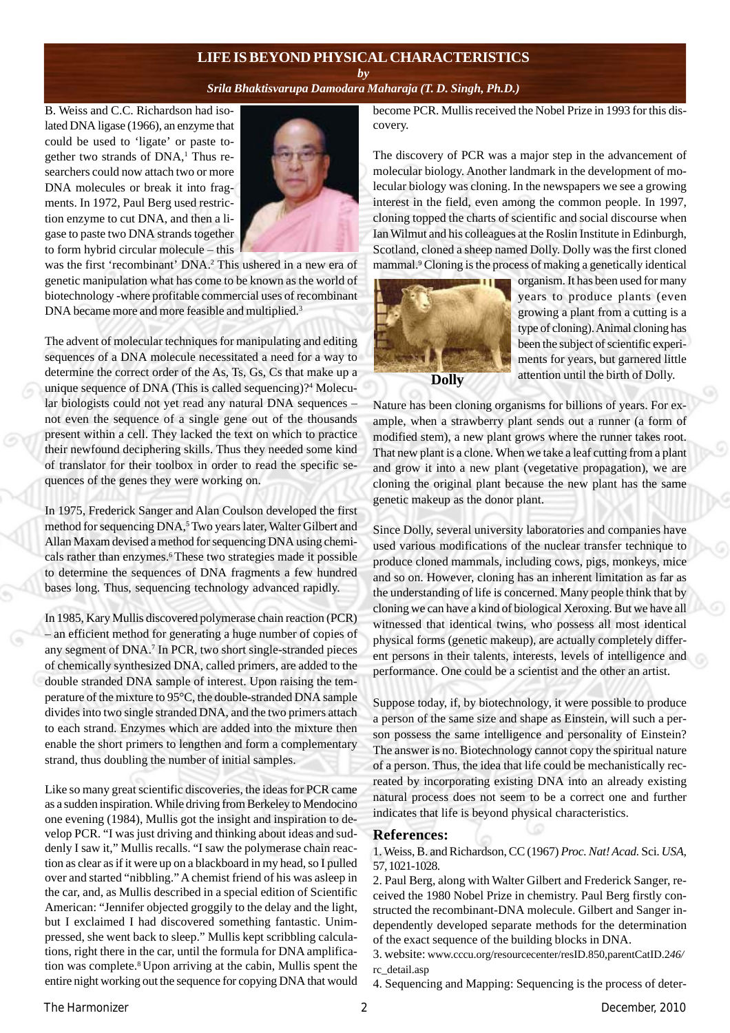## **LIFE IS BEYOND PHYSICAL CHARACTERISTICS**

### *by [Srila Bhaktisvarupa Damodara Maharaja](http://mahaprabhu.net/sadhusanga/blog1.php/2009/10/01/affectionate-guardians) ([T. D. Singh, Ph.D.](http://mahaprabhu.net/sadhusanga/blog1.php/2009/10/01/affectionate-guardians))*

B. Weiss and C.C. Richardson had isolated DNA ligase (1966), an enzyme that could be used to 'ligate' or paste together two strands of  $DNA<sub>i</sub><sup>1</sup>$  Thus researchers could now attach two or more DNA molecules or break it into fragments. In 1972, Paul Berg used restriction enzyme to cut DNA, and then a ligase to paste two DNA strands together to form hybrid circular molecule – this



was the first 'recombinant' DNA.<sup>2</sup> This ushered in a new era of genetic manipulation what has come to be known as the world of biotechnology -where profitable commercial uses of recombinant DNA became more and more feasible and multiplied.<sup>3</sup>

The advent of molecular techniques for manipulating and editing sequences of a DNA molecule necessitated a need for a way to determine the correct order of the As, Ts, Gs, Cs that make up a unique sequence of DNA (This is called sequencing)?<sup>4</sup> Molecular biologists could not yet read any natural DNA sequences – not even the sequence of a single gene out of the thousands present within a cell. They lacked the text on which to practice their newfound deciphering skills. Thus they needed some kind of translator for their toolbox in order to read the specific sequences of the genes they were working on.

In 1975, Frederick Sanger and Alan Coulson developed the first method for sequencing DNA,<sup>5</sup> Two years later, Walter Gilbert and Allan Maxam devised a method for sequencing DNA using chemicals rather than enzymes.6 These two strategies made it possible to determine the sequences of DNA fragments a few hundred bases long. Thus, sequencing technology advanced rapidly.

In 1985, Kary Mullis discovered polymerase chain reaction (PCR) – an efficient method for generating a huge number of copies of any segment of DNA.<sup>7</sup> In PCR, two short single-stranded pieces of chemically synthesized DNA, called primers, are added to the double stranded DNA sample of interest. Upon raising the temperature of the mixture to 95°C, the double-stranded DNA sample divides into two single stranded DNA, and the two primers attach to each strand. Enzymes which are added into the mixture then enable the short primers to lengthen and form a complementary strand, thus doubling the number of initial samples.

Like so many great scientific discoveries, the ideas for PCR came as a sudden inspiration. While driving from Berkeley to Mendocino one evening (1984), Mullis got the insight and inspiration to develop PCR. "I was just driving and thinking about ideas and suddenly I saw it," Mullis recalls. "I saw the polymerase chain reaction as clear as if it were up on a blackboard in my head, so I pulled over and started "nibbling." A chemist friend of his was asleep in the car, and, as Mullis described in a special edition of Scientific American: "Jennifer objected groggily to the delay and the light, but I exclaimed I had discovered something fantastic. Unimpressed, she went back to sleep." Mullis kept scribbling calculations, right there in the car, until the formula for DNA amplification was complete.8 Upon arriving at the cabin, Mullis spent the entire night working out the sequence for copying DNA that would become PCR. Mullis received the Nobel Prize in 1993 for this discovery.

The discovery of PCR was a major step in the advancement of molecular biology. Another landmark in the development of molecular biology was cloning. In the newspapers we see a growing interest in the field, even among the common people. In 1997, cloning topped the charts of scientific and social discourse when Ian Wilmut and his colleagues at the Roslin Institute in Edinburgh, Scotland, cloned a sheep named Dolly. Dolly was the first cloned mammal.<sup>9</sup> Cloning is the process of making a genetically identical



organism. It has been used for many years to produce plants (even growing a plant from a cutting is a type of cloning). Animal cloning has been the subject of scientific experiments for years, but garnered little attention until the birth of Dolly.

Nature has been cloning organisms for billions of years. For example, when a strawberry plant sends out a runner (a form of modified stem), a new plant grows where the runner takes root. That new plant is a clone. When we take a leaf cutting from a plant and grow it into a new plant (vegetative propagation), we are cloning the original plant because the new plant has the same genetic makeup as the donor plant.

Since Dolly, several university laboratories and companies have used various modifications of the nuclear transfer technique to produce cloned mammals, including cows, pigs, monkeys, mice and so on. However, cloning has an inherent limitation as far as the understanding of life is concerned. Many people think that by cloning we can have a kind of biological Xeroxing. But we have all witnessed that identical twins, who possess all most identical physical forms (genetic makeup), are actually completely different persons in their talents, interests, levels of intelligence and performance. One could be a scientist and the other an artist.

Suppose today, if, by biotechnology, it were possible to produce a person of the same size and shape as Einstein, will such a person possess the same intelligence and personality of Einstein? The answer is no. Biotechnology cannot copy the spiritual nature of a person. Thus, the idea that life could be mechanistically recreated by incorporating existing DNA into an already existing natural process does not seem to be a correct one and further indicates that life is beyond physical characteristics.

## **References:**

1. Weiss, B. and Richardson, CC (1967) *Proc. Nat! Acad.* Sci. *USA,* 57, 1021-1028.

2. Paul Berg, along with Walter Gilbert and Frederick Sanger, received the 1980 Nobel Prize in chemistry. Paul Berg firstly constructed the recombinant-DNA molecule. Gilbert and Sanger independently developed separate methods for the determination of the exact sequence of the building blocks in DNA.

3. website: www.cccu.org/resourcecenter/resID.850,parentCatID.2*46/* rc\_detail.asp

4. Sequencing and Mapping: Sequencing is the process of deter-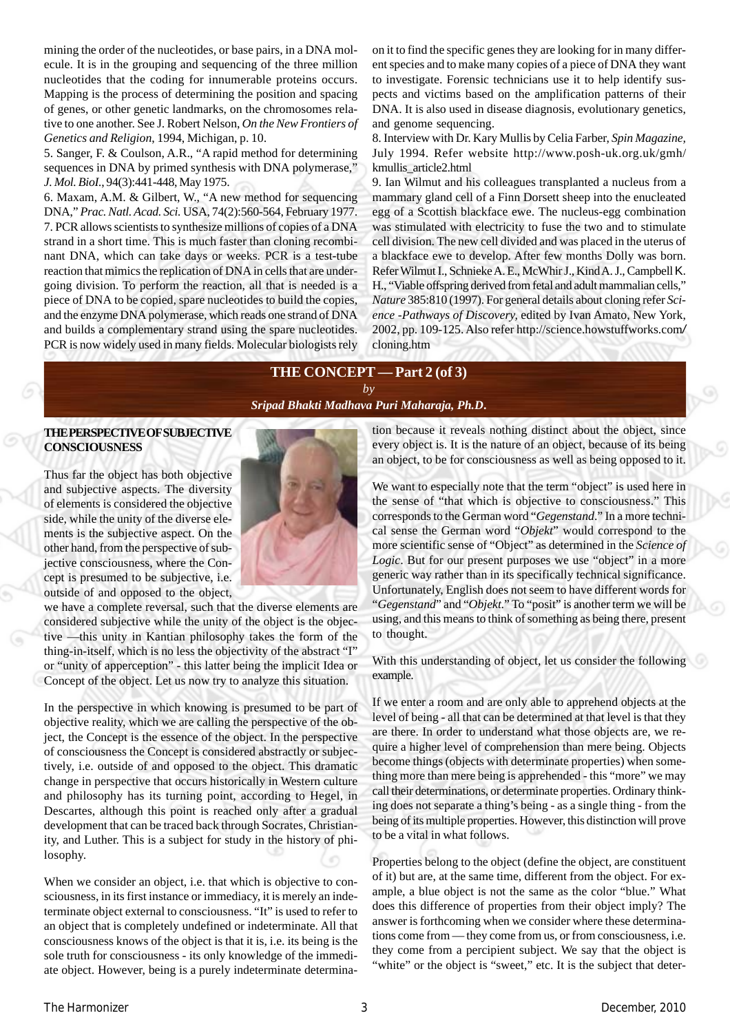mining the order of the nucleotides, or base pairs, in a DNA molecule. It is in the grouping and sequencing of the three million nucleotides that the coding for innumerable proteins occurs. Mapping is the process of determining the position and spacing of genes, or other genetic landmarks, on the chromosomes relative to one another. See J. Robert Nelson, *On the New Frontiers of Genetics and Religion*, 1994, Michigan, p. 10.

5. Sanger, F. & Coulson, A.R., "A rapid method for determining sequences in DNA by primed synthesis with DNA polymerase," *J. Mol. BioI.*, 94(3):441-448, May 1975.

6. Maxam, A.M. & Gilbert, W., "A new method for sequencing DNA," *Prac. Natl. Acad. Sci.* USA, 74(2):560-564, February 1977. 7. PCR allows scientists to synthesize millions of copies of a DNA strand in a short time. This is much faster than cloning recombinant DNA, which can take days or weeks. PCR is a test-tube reaction that mimics the replication of DNA in cells that are undergoing division. To perform the reaction, all that is needed is a piece of DNA to be copied, spare nucleotides to build the copies, and the enzyme DNA polymerase, which reads one strand of DNA and builds a complementary strand using the spare nucleotides. PCR is now widely used in many fields. Molecular biologists rely on it to find the specific genes they are looking for in many different species and to make many copies of a piece of DNA they want to investigate. Forensic technicians use it to help identify suspects and victims based on the amplification patterns of their DNA. It is also used in disease diagnosis, evolutionary genetics, and genome sequencing.

8. Interview with Dr. Kary Mullis by Celia Farber, *Spin Magazine,* July 1994. Refer website http://www.posh-uk.org.uk/gmh/ kmullis\_article2.html

9. Ian Wilmut and his colleagues transplanted a nucleus from a mammary gland cell of a Finn Dorsett sheep into the enucleated egg of a Scottish blackface ewe. The nucleus-egg combination was stimulated with electricity to fuse the two and to stimulate cell division. The new cell divided and was placed in the uterus of a blackface ewe to develop. After few months Dolly was born. Refer Wilmut I., Schnieke A. E., McWhir J., Kind A. J., Campbell K. H., "Viable offspring derived from fetal and adult mammalian cells," *Nature* 385:810 (1997). For general details about cloning refer *Science* -*Pathways of Discovery,* edited by Ivan Amato, New York, 2002, pp. 109-125. Also refer http://science.howstuffworks.com*/* cloning.htm

# **THE CONCEPT — Part 2 (of 3)**

*by [Sripad Bhakti Madhava Puri Maharaja, Ph.D](http://mahaprabhu.net/sadhusanga/blog1.php/2009/10/01/affectionate-guardians)***.**

## **THE PERSPECTIVE OF SUBJECTIVE CONSCIOUSNESS**

Thus far the object has both objective and subjective aspects. The diversity of elements is considered the objective side, while the unity of the diverse elements is the subjective aspect. On the other hand, from the perspective of subjective consciousness, where the Concept is presumed to be subjective, i.e. outside of and opposed to the object,



we have a complete reversal, such that the diverse elements are considered subjective while the unity of the object is the objective —this unity in Kantian philosophy takes the form of the thing-in-itself, which is no less the objectivity of the abstract "I" or "unity of apperception" - this latter being the implicit Idea or Concept of the object. Let us now try to analyze this situation.

In the perspective in which knowing is presumed to be part of objective reality, which we are calling the perspective of the object, the Concept is the essence of the object. In the perspective of consciousness the Concept is considered abstractly or subjectively, i.e. outside of and opposed to the object. This dramatic change in perspective that occurs historically in Western culture and philosophy has its turning point, according to Hegel, in Descartes, although this point is reached only after a gradual development that can be traced back through Socrates, Christianity, and Luther. This is a subject for study in the history of philosophy.

When we consider an object, i.e. that which is objective to consciousness, in its first instance or immediacy, it is merely an indeterminate object external to consciousness. "It" is used to refer to an object that is completely undefined or indeterminate. All that consciousness knows of the object is that it is, i.e. its being is the sole truth for consciousness - its only knowledge of the immediate object. However, being is a purely indeterminate determination because it reveals nothing distinct about the object, since every object is. It is the nature of an object, because of its being an object, to be for consciousness as well as being opposed to it.

We want to especially note that the term "object" is used here in the sense of "that which is objective to consciousness." This corresponds to the German word "*Gegenstand*." In a more technical sense the German word "*Objekt*" would correspond to the more scientific sense of "Object" as determined in the *Science of Logic*. But for our present purposes we use "object" in a more generic way rather than in its specifically technical significance. Unfortunately, English does not seem to have different words for "*Gegenstand*" and "*Objekt*." To "posit" is another term we will be using, and this means to think of something as being there, present to thought.

With this understanding of object, let us consider the following example.

If we enter a room and are only able to apprehend objects at the level of being - all that can be determined at that level is that they are there. In order to understand what those objects are, we require a higher level of comprehension than mere being. Objects become things (objects with determinate properties) when something more than mere being is apprehended - this "more" we may call their determinations, or determinate properties. Ordinary thinking does not separate a thing's being - as a single thing - from the being of its multiple properties. However, this distinction will prove to be a vital in what follows.

Properties belong to the object (define the object, are constituent of it) but are, at the same time, different from the object. For example, a blue object is not the same as the color "blue." What does this difference of properties from their object imply? The answer is forthcoming when we consider where these determinations come from — they come from us, or from consciousness, i.e. they come from a percipient subject. We say that the object is "white" or the object is "sweet," etc. It is the subject that deter